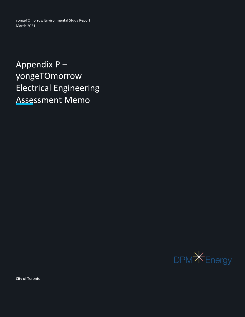yongeTOmorrow Environmental Study Report March 2021

Appendix P – yongeTOmorrow Electrical Engineering Assessment Memo



City of Toronto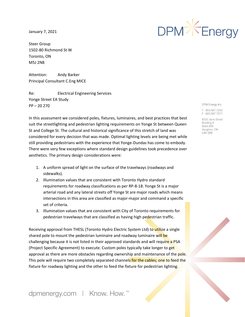January 7, 2021

Steer Group 1502-80 Richmond St W Toronto, ON M5J 2N8

Attention: Andy Barker Principal Consultant C.Eng MICE

Re: Electrical Engineering Services Yonge Street EA Study PP – 20 270

In this assessment we considered poles, fixtures, luminaires, and best practices that best suit the streetlighting and pedestrian lighting requirements on Yonge St between Queen St and College St. The cultural and historical significance of this stretch of land was considered for every decision that was made. Optimal lighting levels are being met while still providing pedestrians with the experience that Yonge-Dundas has come to embody. There were very few exceptions where standard design guidelines took precedence over aesthetics. The primary design considerations were:

- 1. A uniform spread of light on the surface of the travelways (roadways and sidewalks).
- 2. Illumination values that are consistent with Toronto Hydro standard requirements for roadway classifications as per RP-8-18. Yonge St is a major arterial road and any lateral streets off Yonge St are major roads which means intersections in this area are classified as major-major and command a specific set of criteria.
- 3. Illumination values that are consistent with City of Toronto requirements for pedestrian travelways that are classified as having high pedestrian traffic.

Receiving approval from THESL (Toronto Hydro Electric System Ltd) to utilize a single shared pole to mount the pedestrian luminaire and roadway luminaire will be challenging because it is not listed in their approved standards and will require a PSA (Project Specific Agreement) to execute. Custom poles typically take longer to get approval as there are more obstacles regarding ownership and maintenance of the pole. This pole will require two completely separated channels for the cables; one to feed the fixture for roadway lighting and the other to feed the fixture for pedestrian lighting.

DPM<sup>X</sup>Energy

DPM Energy Inc.

T 905,597,7200 F 905.597.7271

8000 Jane Street **Building A** Suite 200 Vaughan, ON L4K 5B8

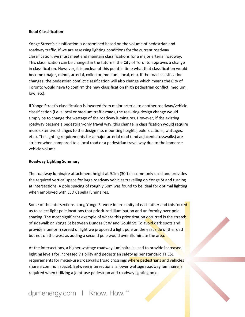## **Road Classification**

Yonge Street's classification is determined based on the volume of pedestrian and roadway traffic. If we are assessing lighting conditions for the current roadway classification, we must meet and maintain classifications for a major arterial roadway. This classification can be changed in the future if the City of Toronto approves a change in classification. However, it is unclear at this point in time what that classification would become (major, minor, arterial, collector, medium, local, etc). If the road classification changes, the pedestrian conflict classification will also change which means the City of Toronto would have to confirm the new classification (high pedestrian conflict, medium, low, etc).

If Yonge Street's classification is lowered from major arterial to another roadway/vehicle classification (i.e. a local or medium traffic road), the resulting design change would simply be to change the wattage of the roadway luminaires. However, if the existing roadway became a pedestrian-only travel way, this change in classification would require more extensive changes to the design (i.e. mounting heights, pole locations, wattages, etc.). The lighting requirements for a major arterial road (and adjacent crosswalks) are stricter when compared to a local road or a pedestrian travel way due to the immense vehicle volume.

## **Roadway Lighting Summary**

The roadway luminaire attachment height at 9.1m (30ft) is commonly used and provides the required vertical space for large roadway vehicles travelling on Yonge St and turning at intersections. A pole spacing of roughly 50m was found to be ideal for optimal lighting when employed with LED Capella luminaires.

Some of the intersections along Yonge St were in proximity of each other and this forced us to select light pole locations that prioritized illumination and uniformity over pole spacing. The most significant example of where this prioritization occurred is the stretch of sidewalk on Yonge St between Dundas St W and Gould St. To avoid dark spots and provide a uniform spread of light we proposed a light pole on the east side of the road but not on the west as adding a second pole would over-illuminate the area.

At the intersections, a higher wattage roadway luminaire is used to provide increased lighting levels for increased visibility and pedestrian safety as per standard THESL requirements for mixed-use crosswalks (road crossings where pedestrians and vehicles share a common space). Between intersections, a lower wattage roadway luminaire is required when utilizing a joint-use pedestrian and roadway lighting pole.

dpmenergy.com | Know. How. ™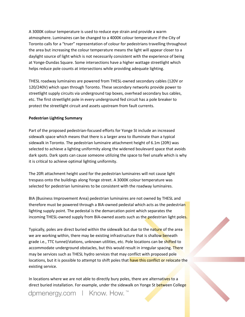A 3000K colour temperature is used to reduce eye strain and provide a warm atmosphere. Luminaires can be changed to a 4000K colour temperature if the City of Toronto calls for a "truer" representation of colour for pedestrians travelling throughout the area but increasing the colour temperature means the light will appear closer to a daylight source of light which is not necessarily consistent with the experience of being at Yonge-Dundas Square. Some intersections have a higher wattage streetlight which helps reduce pole counts at intersections while providing adequate lighting.

THESL roadway luminaires are powered from THESL-owned secondary cables (120V or 120/240V) which span through Toronto. These secondary networks provide power to streetlight supply circuits via underground tap boxes, overhead secondary bus cables, etc. The first streetlight pole in every underground fed circuit has a pole breaker to protect the streetlight circuit and assets upstream from fault currents.

# **Pedestrian Lighting Summary**

Part of the proposed pedestrian-focused efforts for Yonge St include an increased sidewalk space which means that there is a larger area to illuminate than a typical sidewalk in Toronto. The pedestrian luminaire attachment height of 6.1m (20ft) was selected to achieve a lighting uniformity along the widened boulevard space that avoids dark spots. Dark spots can cause someone utilizing the space to feel unsafe which is why it is critical to achieve optimal lighting uniformity.

The 20ft attachment height used for the pedestrian luminaires will not cause light trespass onto the buildings along Yonge street. A 3000K colour temperature was selected for pedestrian luminaires to be consistent with the roadway luminaires.

BIA (Business Improvement Area) pedestrian luminaires are not owned by THESL and therefore must be powered through a BIA-owned pedestal which acts as the pedestrian lighting supply point. The pedestal is the demarcation point which separates the incoming THESL-owned supply from BIA-owned assets such as the pedestrian light poles.

Typically, poles are direct buried within the sidewalk but due to the nature of the area we are working within, there may be existing infrastructure that is shallow beneath grade i.e., TTC tunnel/stations, unknown utilities, etc. Pole locations can be shifted to accommodate underground obstacles, but this would result in irregular spacing. There may be services such as THESL hydro services that may conflict with proposed pole locations, but it is possible to attempt to shift poles that have this conflict or relocate the existing service.

In locations where we are not able to directly bury poles, there are alternatives to a direct buried installation. For example, under the sidewalk on Yonge St between College

dpmenergy.com | Know. How.<sup>™</sup>